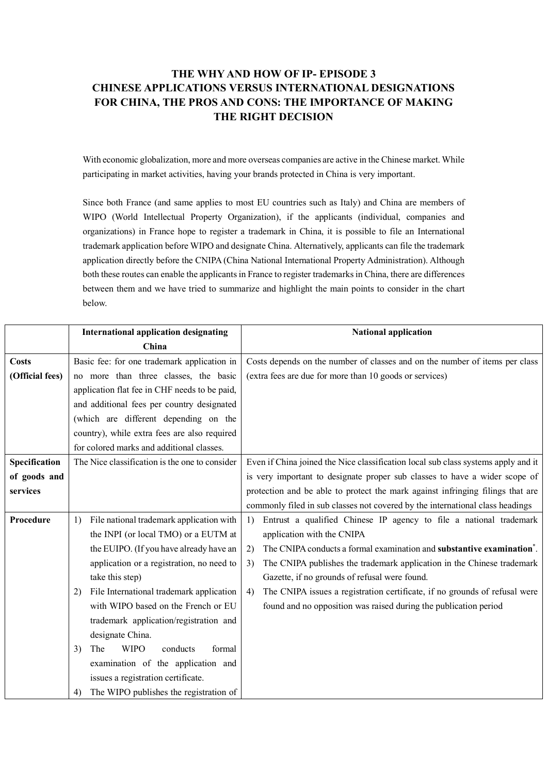## **THE WHY AND HOW OF IP- EPISODE 3 CHINESE APPLICATIONS VERSUS INTERNATIONAL DESIGNATIONS FOR CHINA, THE PROS AND CONS: THE IMPORTANCE OF MAKING THE RIGHT DECISION**

With economic globalization, more and more overseas companies are active in the Chinese market. While participating in market activities, having your brands protected in China is very important.

Since both France (and same applies to most EU countries such as Italy) and China are members of WIPO (World Intellectual Property Organization), if the applicants (individual, companies and organizations) in France hope to register a trademark in China, it is possible to file an International trademark application before WIPO and designate China. Alternatively, applicants can file the trademark application directly before the CNIPA (China National International Property Administration). Although both these routes can enable the applicants in France to register trademarks in China, there are differences between them and we have tried to summarize and highlight the main points to consider in the chart below.

|                 | <b>International application designating</b>   | <b>National application</b>                                                       |
|-----------------|------------------------------------------------|-----------------------------------------------------------------------------------|
|                 | China                                          |                                                                                   |
| <b>Costs</b>    | Basic fee: for one trademark application in    | Costs depends on the number of classes and on the number of items per class       |
| (Official fees) | no more than three classes, the basic          | (extra fees are due for more than 10 goods or services)                           |
|                 | application flat fee in CHF needs to be paid,  |                                                                                   |
|                 | and additional fees per country designated     |                                                                                   |
|                 | (which are different depending on the          |                                                                                   |
|                 | country), while extra fees are also required   |                                                                                   |
|                 | for colored marks and additional classes.      |                                                                                   |
| Specification   | The Nice classification is the one to consider | Even if China joined the Nice classification local sub class systems apply and it |
| of goods and    |                                                | is very important to designate proper sub classes to have a wider scope of        |
| services        |                                                | protection and be able to protect the mark against infringing filings that are    |
|                 |                                                | commonly filed in sub classes not covered by the international class headings     |
| Procedure       | File national trademark application with<br>1) | Entrust a qualified Chinese IP agency to file a national trademark<br>1)          |
|                 | the INPI (or local TMO) or a EUTM at           | application with the CNIPA                                                        |
|                 | the EUIPO. (If you have already have an        | The CNIPA conducts a formal examination and substantive examination*.<br>2)       |
|                 | application or a registration, no need to      | The CNIPA publishes the trademark application in the Chinese trademark<br>3)      |
|                 | take this step)                                | Gazette, if no grounds of refusal were found.                                     |
|                 | File International trademark application<br>2) | The CNIPA issues a registration certificate, if no grounds of refusal were<br>4)  |
|                 | with WIPO based on the French or EU            | found and no opposition was raised during the publication period                  |
|                 | trademark application/registration and         |                                                                                   |
|                 | designate China.                               |                                                                                   |
|                 | <b>WIPO</b><br>conducts<br>formal<br>3)<br>The |                                                                                   |
|                 | examination of the application and             |                                                                                   |
|                 | issues a registration certificate.             |                                                                                   |
|                 | The WIPO publishes the registration of<br>4)   |                                                                                   |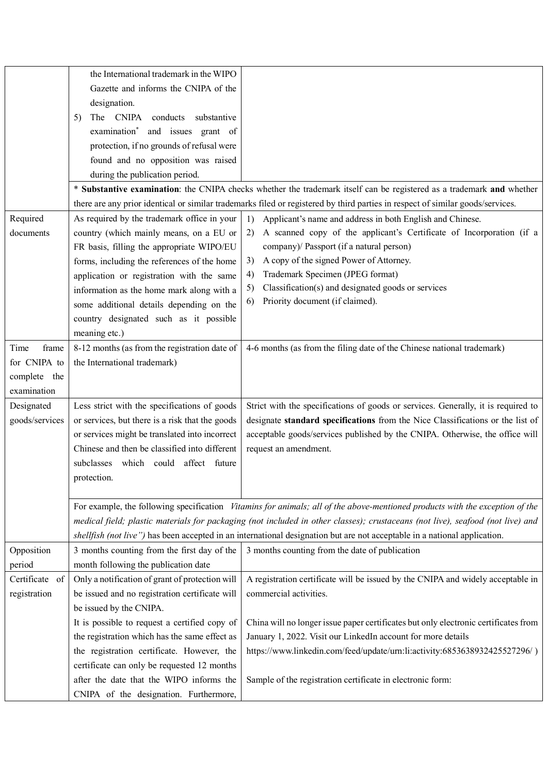|                | the International trademark in the WIPO<br>Gazette and informs the CNIPA of the<br>designation.<br>The CNIPA<br>conducts<br>substantive<br>5)<br>examination* and issues grant of<br>protection, if no grounds of refusal were<br>found and no opposition was raised<br>during the publication period. |                                                                                                                                |
|----------------|--------------------------------------------------------------------------------------------------------------------------------------------------------------------------------------------------------------------------------------------------------------------------------------------------------|--------------------------------------------------------------------------------------------------------------------------------|
|                |                                                                                                                                                                                                                                                                                                        | * Substantive examination: the CNIPA checks whether the trademark itself can be registered as a trademark and whether          |
|                |                                                                                                                                                                                                                                                                                                        | there are any prior identical or similar trademarks filed or registered by third parties in respect of similar goods/services. |
| Required       | As required by the trademark office in your                                                                                                                                                                                                                                                            | Applicant's name and address in both English and Chinese.<br>1)                                                                |
| documents      | country (which mainly means, on a EU or                                                                                                                                                                                                                                                                | A scanned copy of the applicant's Certificate of Incorporation (if a<br>2)                                                     |
|                | FR basis, filling the appropriate WIPO/EU                                                                                                                                                                                                                                                              | company)/ Passport (if a natural person)                                                                                       |
|                | forms, including the references of the home                                                                                                                                                                                                                                                            | A copy of the signed Power of Attorney.<br>3)                                                                                  |
|                | application or registration with the same                                                                                                                                                                                                                                                              | Trademark Specimen (JPEG format)<br>4)                                                                                         |
|                | information as the home mark along with a                                                                                                                                                                                                                                                              | Classification(s) and designated goods or services<br>5)                                                                       |
|                | some additional details depending on the                                                                                                                                                                                                                                                               | Priority document (if claimed).<br>6)                                                                                          |
|                | country designated such as it possible                                                                                                                                                                                                                                                                 |                                                                                                                                |
|                | meaning etc.)                                                                                                                                                                                                                                                                                          |                                                                                                                                |
| frame<br>Time  | 8-12 months (as from the registration date of                                                                                                                                                                                                                                                          | 4-6 months (as from the filing date of the Chinese national trademark)                                                         |
| for CNIPA to   | the International trademark)                                                                                                                                                                                                                                                                           |                                                                                                                                |
| complete the   |                                                                                                                                                                                                                                                                                                        |                                                                                                                                |
| examination    |                                                                                                                                                                                                                                                                                                        |                                                                                                                                |
| Designated     | Less strict with the specifications of goods                                                                                                                                                                                                                                                           | Strict with the specifications of goods or services. Generally, it is required to                                              |
| goods/services | or services, but there is a risk that the goods                                                                                                                                                                                                                                                        | designate standard specifications from the Nice Classifications or the list of                                                 |
|                | or services might be translated into incorrect                                                                                                                                                                                                                                                         | acceptable goods/services published by the CNIPA. Otherwise, the office will                                                   |
|                | Chinese and then be classified into different                                                                                                                                                                                                                                                          | request an amendment.                                                                                                          |
|                | subclasses which could affect future                                                                                                                                                                                                                                                                   |                                                                                                                                |
|                | protection.                                                                                                                                                                                                                                                                                            |                                                                                                                                |
|                |                                                                                                                                                                                                                                                                                                        |                                                                                                                                |
|                |                                                                                                                                                                                                                                                                                                        | For example, the following specification Vitamins for animals; all of the above-mentioned products with the exception of the   |
|                | medical field; plastic materials for packaging (not included in other classes); crustaceans (not live), seafood (not live) and                                                                                                                                                                         |                                                                                                                                |
|                |                                                                                                                                                                                                                                                                                                        | shellfish (not live") has been accepted in an international designation but are not acceptable in a national application.      |
| Opposition     | 3 months counting from the first day of the                                                                                                                                                                                                                                                            | 3 months counting from the date of publication                                                                                 |
| period         | month following the publication date                                                                                                                                                                                                                                                                   |                                                                                                                                |
| Certificate of | Only a notification of grant of protection will                                                                                                                                                                                                                                                        | A registration certificate will be issued by the CNIPA and widely acceptable in                                                |
| registration   | be issued and no registration certificate will                                                                                                                                                                                                                                                         | commercial activities.                                                                                                         |
|                | be issued by the CNIPA.                                                                                                                                                                                                                                                                                |                                                                                                                                |
|                | It is possible to request a certified copy of                                                                                                                                                                                                                                                          | China will no longer issue paper certificates but only electronic certificates from                                            |
|                | the registration which has the same effect as                                                                                                                                                                                                                                                          | January 1, 2022. Visit our LinkedIn account for more details                                                                   |
|                | the registration certificate. However, the                                                                                                                                                                                                                                                             | https://www.linkedin.com/feed/update/urn:li:activity:6853638932425527296/)                                                     |
|                | certificate can only be requested 12 months                                                                                                                                                                                                                                                            |                                                                                                                                |
|                | after the date that the WIPO informs the                                                                                                                                                                                                                                                               | Sample of the registration certificate in electronic form:                                                                     |
|                | CNIPA of the designation. Furthermore,                                                                                                                                                                                                                                                                 |                                                                                                                                |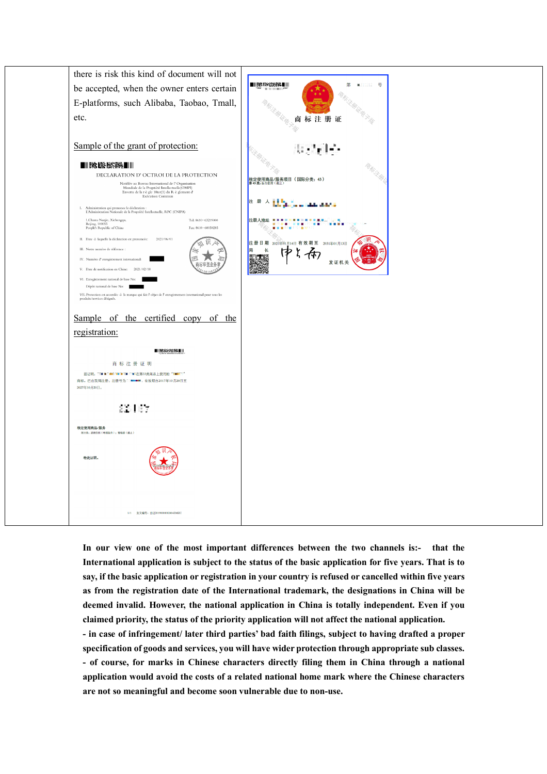

**In our view one of the most important differences between the two channels is:- that the International application is subject to the status of the basic application for five years. That is to say, if the basic application or registration in your country is refused or cancelled within five years as from the registration date of the International trademark, the designations in China will be deemed invalid. However, the national application in China is totally independent. Even if you claimed priority, the status of the priority application will not affect the national application. - in case of infringement/ later third parties' bad faith filings, subject to having drafted a proper specification of goods and services, you will have wider protection through appropriate sub classes. - of course, for marks in Chinese characters directly filing them in China through a national application would avoid the costs of a related national home mark where the Chinese characters are not so meaningful and become soon vulnerable due to non-use.**